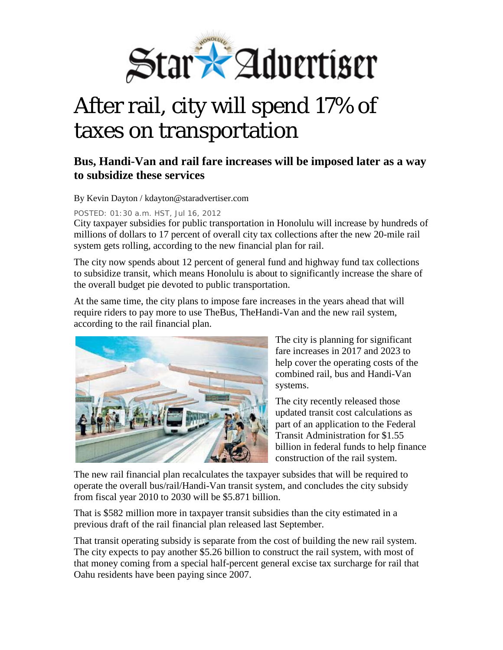

## After rail, city will spend 17% of taxes on transportation

## **Bus, Handi-Van and rail fare increases will be imposed later as a way to subsidize these services**

By Kevin Dayton / kdayton@staradvertiser.com

POSTED: 01:30 a.m. HST, Jul 16, 2012

City taxpayer subsidies for public transportation in Honolulu will increase by hundreds of millions of dollars to 17 percent of overall city tax collections after the new 20-mile rail system gets rolling, according to the new financial plan for rail.

The city now spends about 12 percent of general fund and highway fund tax collections to subsidize transit, which means Honolulu is about to significantly increase the share of the overall budget pie devoted to public transportation.

At the same time, the city plans to impose fare increases in the years ahead that will require riders to pay more to use TheBus, TheHandi-Van and the new rail system, according to the rail financial plan.



The city is planning for significant fare increases in 2017 and 2023 to help cover the operating costs of the combined rail, bus and Handi-Van systems.

The city recently released those updated transit cost calculations as part of an application to the Federal Transit Administration for \$1.55 billion in federal funds to help finance construction of the rail system.

The new rail financial plan recalculates the taxpayer subsides that will be required to operate the overall bus/rail/Handi-Van transit system, and concludes the city subsidy from fiscal year 2010 to 2030 will be \$5.871 billion.

That is \$582 million more in taxpayer transit subsidies than the city estimated in a previous draft of the rail financial plan released last September.

That transit operating subsidy is separate from the cost of building the new rail system. The city expects to pay another \$5.26 billion to construct the rail system, with most of that money coming from a special half-percent general excise tax surcharge for rail that Oahu residents have been paying since 2007.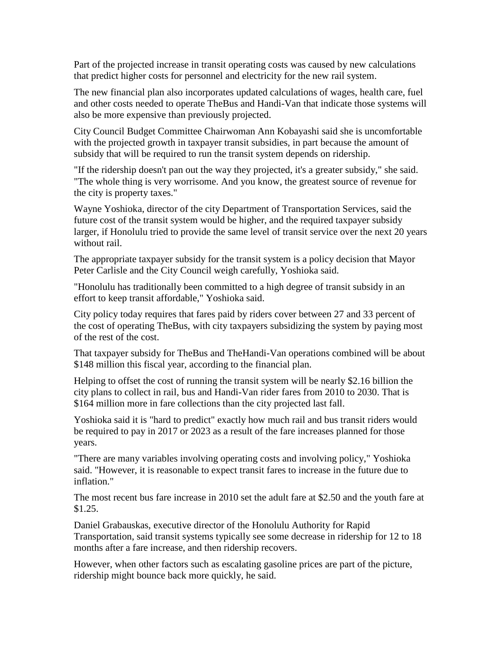Part of the projected increase in transit operating costs was caused by new calculations that predict higher costs for personnel and electricity for the new rail system.

The new financial plan also incorporates updated calculations of wages, health care, fuel and other costs needed to operate TheBus and Handi-Van that indicate those systems will also be more expensive than previously projected.

City Council Budget Committee Chairwoman Ann Kobayashi said she is uncomfortable with the projected growth in taxpayer transit subsidies, in part because the amount of subsidy that will be required to run the transit system depends on ridership.

"If the ridership doesn't pan out the way they projected, it's a greater subsidy," she said. "The whole thing is very worrisome. And you know, the greatest source of revenue for the city is property taxes."

Wayne Yoshioka, director of the city Department of Transportation Services, said the future cost of the transit system would be higher, and the required taxpayer subsidy larger, if Honolulu tried to provide the same level of transit service over the next 20 years without rail.

The appropriate taxpayer subsidy for the transit system is a policy decision that Mayor Peter Carlisle and the City Council weigh carefully, Yoshioka said.

"Honolulu has traditionally been committed to a high degree of transit subsidy in an effort to keep transit affordable," Yoshioka said.

City policy today requires that fares paid by riders cover between 27 and 33 percent of the cost of operating TheBus, with city taxpayers subsidizing the system by paying most of the rest of the cost.

That taxpayer subsidy for TheBus and TheHandi-Van operations combined will be about \$148 million this fiscal year, according to the financial plan.

Helping to offset the cost of running the transit system will be nearly \$2.16 billion the city plans to collect in rail, bus and Handi-Van rider fares from 2010 to 2030. That is \$164 million more in fare collections than the city projected last fall.

Yoshioka said it is "hard to predict" exactly how much rail and bus transit riders would be required to pay in 2017 or 2023 as a result of the fare increases planned for those years.

"There are many variables involving operating costs and involving policy," Yoshioka said. "However, it is reasonable to expect transit fares to increase in the future due to inflation."

The most recent bus fare increase in 2010 set the adult fare at \$2.50 and the youth fare at \$1.25.

Daniel Grabauskas, executive director of the Honolulu Authority for Rapid Transportation, said transit systems typically see some decrease in ridership for 12 to 18 months after a fare increase, and then ridership recovers.

However, when other factors such as escalating gasoline prices are part of the picture, ridership might bounce back more quickly, he said.